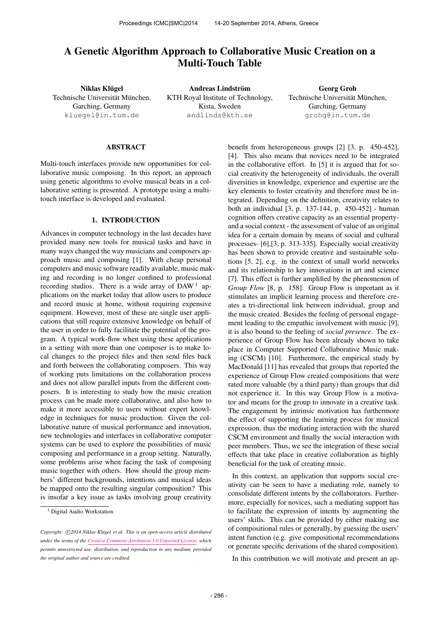# A Genetic Algorithm Approach to Collaborative Music Creation on a Multi-Touch Table

Niklas Klügel Technische Universität München, Garching, Germany [kluegel@in.tum.de](mailto:kluegel@in.tum.de)

Andreas Lindström KTH Royal Institute of Technology, Kista, Sweden [andlinds@kth.se](mailto:andlinds@kth.se)

Georg Groh Technische Universität München, Garching, Germany [grohg@in.tum.de](mailto:grohg@in.tum.de)

## ABSTRACT

Multi-touch interfaces provide new opportunities for collaborative music composing. In this report, an approach using genetic algorithms to evolve musical beats in a collaborative setting is presented. A prototype using a multitouch interface is developed and evaluated.

# 1. INTRODUCTION

Advances in computer technology in the last decades have provided many new tools for musical tasks and have in many ways changed the way musicians and composers approach music and composing [1]. With cheap personal computers and music software readily available, music making and recording is no longer confined to professional recording studios. There is a wide array of DAW<sup>1</sup> applications on the market today that allow users to produce and record music at home, without requiring expensive equipment. However, most of these are single user applications that still require extensive knowledge on behalf of the user in order to fully facilitate the potential of the program. A typical work-flow when using these applications in a setting with more than one composer is to make local changes to the project files and then send files back and forth between the collaborating composers. This way of working puts limitations on the collaboration process and does not allow parallel inputs from the different composers. It is interesting to study how the music creation process can be made more collaborative, and also how to make it more accessible to users without expert knowledge in techniques for music production. Given the collaborative nature of musical performance and innovation, new technologies and interfaces in collaborative computer systems can be used to explore the possibilities of music composing and performance in a group setting. Naturally, some problems arise when facing the task of composing music together with others. How should the group members' different backgrounds, intentions and musical ideas be mapped onto the resulting singular composition? This is insofar a key issue as tasks involving group creativity

benefit from heterogeneous groups [2] [3, p. 450-452], [4]. This also means that novices need to be integrated in the collaborative effort. In [5] it is argued that for social creativity the heterogeneity of individuals, the overall diversities in knowledge, experience and expertise are the key elements to foster creativity and therefore must be integrated. Depending on the definition, creativity relates to both an individual [3, p. 137-144, p. 450-452] - human cognition offers creative capacity as an essential propertyand a social context - the assessment of value of an original idea for a certain domain by means of social and cultural processes- [6],[3, p. 313-335]. Especially social creativity has been shown to provide creative and sustainable solutions [5, 2], e.g. in the context of small world networks and its relationship to key innovations in art and science [7]. This effect is further amplified by the phenomenon of *Group Flow* [8, p. 158]. Group Flow is important as it stimulates an implicit learning process and therefore creates a tri-directional link between individual, group and the music created. Besides the feeling of personal engagement leading to the empathic involvement with music [9], it is also bound to the feeling of *social presence*. The experience of Group Flow has been already shown to take place in Computer Supported Collaborative Music making (CSCM) [10]. Furthermore, the empirical study by MacDonald [11] has revealed that groups that reported the experience of Group Flow created compositions that were rated more valuable (by a third party) than groups that did not experience it. In this way Group Flow is a motivator and means for the group to innovate in a creative task. The engagement by intrinsic motivation has furthermore the effect of supporting the learning process for musical expression, thus the mediating interaction with the shared CSCM environment and finally the social interaction with peer members. Thus, we see the integration of these social effects that take place in creative collaboration as highly beneficial for the task of creating music.

In this context, an application that supports social creativity can be seen to have a mediating role, namely to consolidate different intents by the collaborators. Furthermore, especially for novices, such a mediating support has to facilitate the expression of intents by augmenting the users' skills. This can be provided by either making use of compositional rules or generally, by guessing the users' intent function (e.g. give compositional recommendations or generate specific derivations of the shared composition).

In this contribution we will motivate and present an ap-

<sup>&</sup>lt;sup>1</sup> Digital Audio Workstation

Copyright:  $\bigcirc$ 2014 Niklas Klügel et al. This is an open-access article distributed *under the terms of the [Creative Commons Attribution 3.0 Unported License,](http://creativecommons.org/licenses/by/3.0/) which permits unrestricted use, distribution, and reproduction in any medium, provided the original author and source are credited.*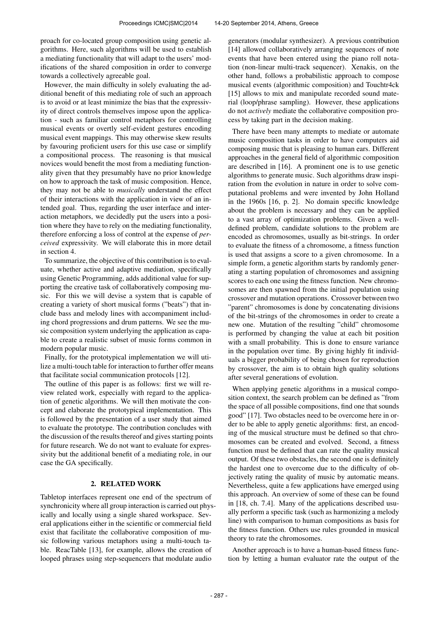proach for co-located group composition using genetic algorithms. Here, such algorithms will be used to establish a mediating functionality that will adapt to the users' modifications of the shared composition in order to converge towards a collectively agreeable goal.

However, the main difficulty in solely evaluating the additional benefit of this mediating role of such an approach is to avoid or at least minimize the bias that the expressivity of direct controls themselves impose upon the application - such as familiar control metaphors for controlling musical events or overtly self-evident gestures encoding musical event mappings. This may otherwise skew results by favouring proficient users for this use case or simplify a compositional process. The reasoning is that musical novices would benefit the most from a mediating functionality given that they presumably have no prior knowledge on how to approach the task of music composition. Hence, they may not be able to *musically* understand the effect of their interactions with the application in view of an intended goal. Thus, regarding the user interface and interaction metaphors, we decidedly put the users into a position where they have to rely on the mediating functionality, therefore enforcing a loss of control at the expense of *perceived* expressivity. We will elaborate this in more detail in section 4.

To summarize, the objective of this contribution is to evaluate, whether active and adaptive mediation, specifically using Genetic Programming, adds additional value for supporting the creative task of collaboratively composing music. For this we will devise a system that is capable of creating a variety of short musical forms ("beats") that include bass and melody lines with accompaniment including chord progressions and drum patterns. We see the music composition system underlying the application as capable to create a realistic subset of music forms common in modern popular music.

Finally, for the prototypical implementation we will utilize a multi-touch table for interaction to further offer means that facilitate social communication protocols [12].

The outline of this paper is as follows: first we will review related work, especially with regard to the application of genetic algorithms. We will then motivate the concept and elaborate the prototypical implementation. This is followed by the presentation of a user study that aimed to evaluate the prototype. The contribution concludes with the discussion of the results thereof and gives starting points for future research. We do not want to evaluate for expressivity but the additional benefit of a mediating role, in our case the GA specifically.

## 2. RELATED WORK

Tabletop interfaces represent one end of the spectrum of synchronicity where all group interaction is carried out physically and locally using a single shared workspace. Several applications either in the scientific or commercial field exist that facilitate the collaborative composition of music following various metaphors using a multi-touch table. ReacTable [13], for example, allows the creation of looped phrases using step-sequencers that modulate audio

generators (modular synthesizer). A previous contribution [14] allowed collaboratively arranging sequences of note events that have been entered using the piano roll notation (non-linear multi-track sequencer). Xenakis, on the other hand, follows a probabilistic approach to compose musical events (algorithmic composition) and Touchtr4ck [15] allows to mix and manipulate recorded sound material (loop/phrase sampling). However, these applications do not *actively* mediate the collaborative composition process by taking part in the decision making.

There have been many attempts to mediate or automate music composition tasks in order to have computers aid composing music that is pleasing to human ears. Different approaches in the general field of algorithmic composition are described in [16]. A prominent one is to use genetic algorithms to generate music. Such algorithms draw inspiration from the evolution in nature in order to solve computational problems and were invented by John Holland in the 1960s [16, p. 2]. No domain specific knowledge about the problem is necessary and they can be applied to a vast array of optimization problems. Given a welldefined problem, candidate solutions to the problem are encoded as chromosomes, usually as bit-strings. In order to evaluate the fitness of a chromosome, a fitness function is used that assigns a score to a given chromosome. In a simple form, a genetic algorithm starts by randomly generating a starting population of chromosomes and assigning scores to each one using the fitness function. New chromosomes are then spawned from the initial population using crossover and mutation operations. Crossover between two "parent" chromosomes is done by concatenating divisions of the bit-strings of the chromosomes in order to create a new one. Mutation of the resulting "child" chromosome is performed by changing the value at each bit position with a small probability. This is done to ensure variance in the population over time. By giving highly fit individuals a bigger probability of being chosen for reproduction by crossover, the aim is to obtain high quality solutions after several generations of evolution.

When applying genetic algorithms in a musical composition context, the search problem can be defined as "from the space of all possible compositions, find one that sounds good" [17]. Two obstacles need to be overcome here in order to be able to apply genetic algorithms: first, an encoding of the musical structure must be defined so that chromosomes can be created and evolved. Second, a fitness function must be defined that can rate the quality musical output. Of these two obstacles, the second one is definitely the hardest one to overcome due to the difficulty of objectively rating the quality of music by automatic means. Nevertheless, quite a few applications have emerged using this approach. An overview of some of these can be found in [18, ch. 7.4]. Many of the applications described usually perform a specific task (such as harmonizing a melody line) with comparison to human compositions as basis for the fitness function. Others use rules grounded in musical theory to rate the chromosomes.

Another approach is to have a human-based fitness function by letting a human evaluator rate the output of the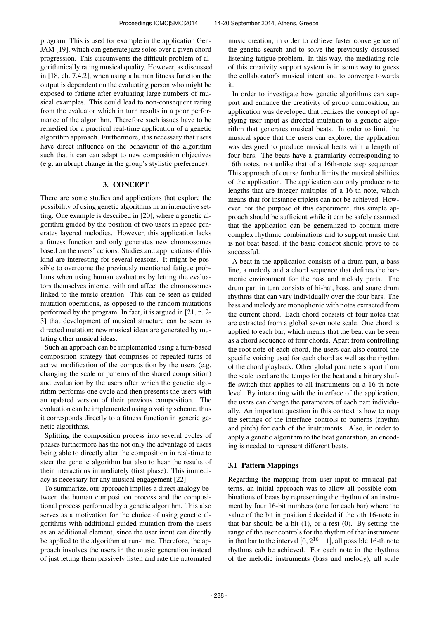program. This is used for example in the application Gen-JAM [19], which can generate jazz solos over a given chord progression. This circumvents the difficult problem of algorithmically rating musical quality. However, as discussed in [18, ch. 7.4.2], when using a human fitness function the output is dependent on the evaluating person who might be exposed to fatigue after evaluating large numbers of musical examples. This could lead to non-consequent rating from the evaluator which in turn results in a poor performance of the algorithm. Therefore such issues have to be remedied for a practical real-time application of a genetic algorithm approach. Furthermore, it is necessary that users have direct influence on the behaviour of the algorithm such that it can can adapt to new composition objectives (e.g. an abrupt change in the group's stylistic preference).

# 3. CONCEPT

There are some studies and applications that explore the possibility of using genetic algorithms in an interactive setting. One example is described in [20], where a genetic algorithm guided by the position of two users in space generates layered melodies. However, this application lacks a fitness function and only generates new chromosomes based on the users' actions. Studies and applications of this kind are interesting for several reasons. It might be possible to overcome the previously mentioned fatigue problems when using human evaluators by letting the evaluators themselves interact with and affect the chromosomes linked to the music creation. This can be seen as guided mutation operations, as opposed to the random mutations performed by the program. In fact, it is argued in [21, p. 2- 3] that development of musical structure can be seen as directed mutation; new musical ideas are generated by mutating other musical ideas.

Such an approach can be implemented using a turn-based composition strategy that comprises of repeated turns of active modification of the composition by the users (e.g. changing the scale or patterns of the shared composition) and evaluation by the users after which the genetic algorithm performs one cycle and then presents the users with an updated version of their previous composition. The evaluation can be implemented using a voting scheme, thus it corresponds directly to a fitness function in generic genetic algorithms.

Splitting the composition process into several cycles of phases furthermore has the not only the advantage of users being able to directly alter the composition in real-time to steer the genetic algorithm but also to hear the results of their interactions immediately (first phase). This immediacy is necessary for any musical engagement [22].

To summarize, our approach implies a direct analogy between the human composition process and the compositional process performed by a genetic algorithm. This also serves as a motivation for the choice of using genetic algorithms with additional guided mutation from the users as an additional element, since the user input can directly be applied to the algorithm at run-time. Therefore, the approach involves the users in the music generation instead of just letting them passively listen and rate the automated music creation, in order to achieve faster convergence of the genetic search and to solve the previously discussed listening fatigue problem. In this way, the mediating role of this creativity support system is in some way to guess the collaborator's musical intent and to converge towards it.

In order to investigate how genetic algorithms can support and enhance the creativity of group composition, an application was developed that realizes the concept of applying user input as directed mutation to a genetic algorithm that generates musical beats. In order to limit the musical space that the users can explore, the application was designed to produce musical beats with a length of four bars. The beats have a granularity corresponding to 16th notes, not unlike that of a 16th-note step sequencer. This approach of course further limits the musical abilities of the application. The application can only produce note lengths that are integer multiples of a 16-th note, which means that for instance triplets can not be achieved. However, for the purpose of this experiment, this simple approach should be sufficient while it can be safely assumed that the application can be generalized to contain more complex rhythmic combinations and to support music that is not beat based, if the basic concept should prove to be successful.

A beat in the application consists of a drum part, a bass line, a melody and a chord sequence that defines the harmonic environment for the bass and melody parts. The drum part in turn consists of hi-hat, bass, and snare drum rhythms that can vary individually over the four bars. The bass and melody are monophonic with notes extracted from the current chord. Each chord consists of four notes that are extracted from a global seven note scale. One chord is applied to each bar, which means that the beat can be seen as a chord sequence of four chords. Apart from controlling the root note of each chord, the users can also control the specific voicing used for each chord as well as the rhythm of the chord playback. Other global parameters apart from the scale used are the tempo for the beat and a binary shuffle switch that applies to all instruments on a 16-th note level. By interacting with the interface of the application, the users can change the parameters of each part individually. An important question in this context is how to map the settings of the interface controls to patterns (rhythm and pitch) for each of the instruments. Also, in order to apply a genetic algorithm to the beat generation, an encoding is needed to represent different beats.

# 3.1 Pattern Mappings

Regarding the mapping from user input to musical patterns, an initial approach was to allow all possible combinations of beats by representing the rhythm of an instrument by four 16-bit numbers (one for each bar) where the value of the bit in position  $i$  decided if the  $i$ :th 16-note in that bar should be a hit  $(1)$ , or a rest  $(0)$ . By setting the range of the user controls for the rhythm of that instrument in that bar to the interval  $[0, 2^{16} - 1]$ , all possible 16-th note rhythms cab be achieved. For each note in the rhythms of the melodic instruments (bass and melody), all scale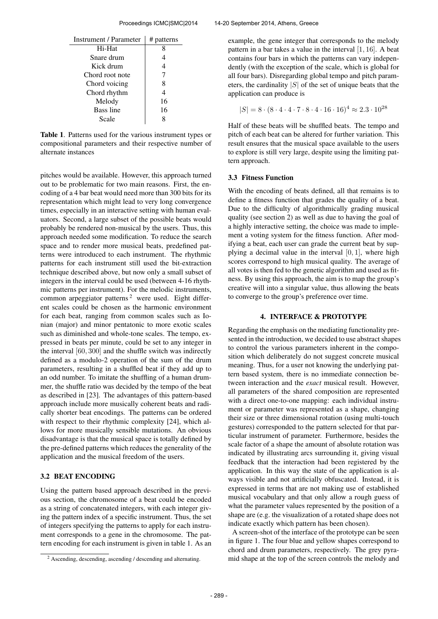| <b>Instrument / Parameter</b> | # patterns |
|-------------------------------|------------|
| Hi-Hat                        |            |
| Snare drum                    | 4          |
| Kick drum                     | 4          |
| Chord root note               |            |
| Chord voicing                 | 8          |
| Chord rhythm                  | 4          |
| Melody                        | 16         |
| Bass line                     | 16         |
| Scale                         |            |

Table 1. Patterns used for the various instrument types or compositional parameters and their respective number of alternate instances

pitches would be available. However, this approach turned out to be problematic for two main reasons. First, the encoding of a 4 bar beat would need more than 300 bits for its representation which might lead to very long convergence times, especially in an interactive setting with human evaluators. Second, a large subset of the possible beats would probably be rendered non-musical by the users. Thus, this approach needed some modification. To reduce the search space and to render more musical beats, predefined patterns were introduced to each instrument. The rhythmic patterns for each instrument still used the bit-extraction technique described above, but now only a small subset of integers in the interval could be used (between 4-16 rhythmic patterns per instrument). For the melodic instruments, common arpeggiator patterns<sup>2</sup> were used. Eight different scales could be chosen as the harmonic environment for each beat, ranging from common scales such as Ionian (major) and minor pentatonic to more exotic scales such as diminished and whole-tone scales. The tempo, expressed in beats per minute, could be set to any integer in the interval [60, 300] and the shuffle switch was indirectly defined as a modulo-2 operation of the sum of the drum parameters, resulting in a shuffled beat if they add up to an odd number. To imitate the shuffling of a human drummer, the shuffle ratio was decided by the tempo of the beat as described in [23]. The advantages of this pattern-based approach include more musically coherent beats and radically shorter beat encodings. The patterns can be ordered with respect to their rhythmic complexity [24], which allows for more musically sensible mutations. An obvious disadvantage is that the musical space is totally defined by the pre-defined patterns which reduces the generality of the application and the musical freedom of the users.

## 3.2 BEAT ENCODING

Using the pattern based approach described in the previous section, the chromosome of a beat could be encoded as a string of concatenated integers, with each integer giving the pattern index of a specific instrument. Thus, the set of integers specifying the patterns to apply for each instrument corresponds to a gene in the chromosome. The pattern encoding for each instrument is given in table 1. As an example, the gene integer that corresponds to the melody pattern in a bar takes a value in the interval [1, 16]. A beat contains four bars in which the patterns can vary independently (with the exception of the scale, which is global for all four bars). Disregarding global tempo and pitch parameters, the cardinality  $|S|$  of the set of unique beats that the application can produce is

$$
|S| = 8 \cdot (8 \cdot 4 \cdot 4 \cdot 7 \cdot 8 \cdot 4 \cdot 16 \cdot 16)^4 \approx 2.3 \cdot 10^{28}
$$

Half of these beats will be shuffled beats. The tempo and pitch of each beat can be altered for further variation. This result ensures that the musical space available to the users to explore is still very large, despite using the limiting pattern approach.

#### 3.3 Fitness Function

With the encoding of beats defined, all that remains is to define a fitness function that grades the quality of a beat. Due to the difficulty of algorithmically grading musical quality (see section 2) as well as due to having the goal of a highly interactive setting, the choice was made to implement a voting system for the fitness function. After modifying a beat, each user can grade the current beat by supplying a decimal value in the interval  $[0, 1]$ , where high scores correspond to high musical quality. The average of all votes is then fed to the genetic algorithm and used as fitness. By using this approach, the aim is to map the group's creative will into a singular value, thus allowing the beats to converge to the group's preference over time.

# 4. INTERFACE & PROTOTYPE

Regarding the emphasis on the mediating functionality presented in the introduction, we decided to use abstract shapes to control the various parameters inherent in the composition which deliberately do not suggest concrete musical meaning. Thus, for a user not knowing the underlying pattern based system, there is no immediate connection between interaction and the *exact* musical result. However, all parameters of the shared composition are represented with a direct one-to-one mapping: each individual instrument or parameter was represented as a shape, changing their size or three dimensional rotation (using multi-touch gestures) corresponded to the pattern selected for that particular instrument of parameter. Furthermore, besides the scale factor of a shape the amount of absolute rotation was indicated by illustrating arcs surrounding it, giving visual feedback that the interaction had been registered by the application. In this way the state of the application is always visible and not artificially obfuscated. Instead, it is expressed in terms that are not making use of established musical vocabulary and that only allow a rough guess of what the parameter values represented by the position of a shape are (e.g. the visualization of a rotated shape does not indicate exactly which pattern has been chosen).

A screen-shot of the interface of the prototype can be seen in figure 1. The four blue and yellow shapes correspond to chord and drum parameters, respectively. The grey pyramid shape at the top of the screen controls the melody and

<sup>2</sup> Ascending, descending, ascending / descending and alternating.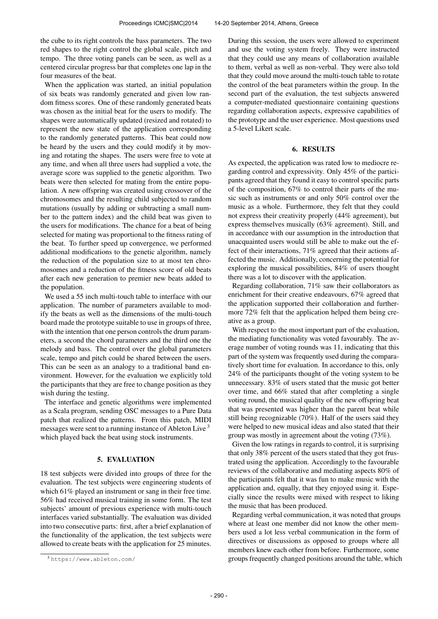the cube to its right controls the bass parameters. The two red shapes to the right control the global scale, pitch and tempo. The three voting panels can be seen, as well as a centered circular progress bar that completes one lap in the four measures of the beat.

When the application was started, an initial population of six beats was randomly generated and given low random fitness scores. One of these randomly generated beats was chosen as the initial beat for the users to modify. The shapes were automatically updated (resized and rotated) to represent the new state of the application corresponding to the randomly generated patterns. This beat could now be heard by the users and they could modify it by moving and rotating the shapes. The users were free to vote at any time, and when all three users had supplied a vote, the average score was supplied to the genetic algorithm. Two beats were then selected for mating from the entire population. A new offspring was created using crossover of the chromosomes and the resulting child subjected to random mutations (usually by adding or subtracting a small number to the pattern index) and the child beat was given to the users for modifications. The chance for a beat of being selected for mating was proportional to the fitness rating of the beat. To further speed up convergence, we performed additional modifications to the genetic algorithm, namely the reduction of the population size to at most ten chromosomes and a reduction of the fitness score of old beats after each new generation to premier new beats added to the population.

We used a 55 inch multi-touch table to interface with our application. The number of parameters available to modify the beats as well as the dimensions of the multi-touch board made the prototype suitable to use in groups of three, with the intention that one person controls the drum parameters, a second the chord parameters and the third one the melody and bass. The control over the global parameters scale, tempo and pitch could be shared between the users. This can be seen as an analogy to a traditional band environment. However, for the evaluation we explicitly told the participants that they are free to change position as they wish during the testing.

The interface and genetic algorithms were implemented as a Scala program, sending OSC messages to a Pure Data patch that realized the patterns. From this patch, MIDI messages were sent to a running instance of Ableton Live<sup>3</sup> which played back the beat using stock instruments.

## 5. EVALUATION

18 test subjects were divided into groups of three for the evaluation. The test subjects were engineering students of which 61% played an instrument or sang in their free time. 56% had received musical training in some form. The test subjects' amount of previous experience with multi-touch interfaces varied substantially. The evaluation was divided into two consecutive parts: first, after a brief explanation of the functionality of the application, the test subjects were allowed to create beats with the application for 25 minutes.

During this session, the users were allowed to experiment and use the voting system freely. They were instructed that they could use any means of collaboration available to them, verbal as well as non-verbal. They were also told that they could move around the multi-touch table to rotate the control of the beat parameters within the group. In the second part of the evaluation, the test subjects answered a computer-mediated questionnaire containing questions regarding collaboration aspects, expressive capabilities of the prototype and the user experience. Most questions used a 5-level Likert scale.

# 6. RESULTS

As expected, the application was rated low to mediocre regarding control and expressivity. Only 45% of the participants agreed that they found it easy to control specific parts of the composition, 67% to control their parts of the music such as instruments or and only 50% control over the music as a whole. Furthermore, they felt that they could not express their creativity properly (44% agreement), but express themselves musically (63% agreement). Still, and in accordance with our assumption in the introduction that unacquainted users would still be able to make out the effect of their interactions, 71% agreed that their actions affected the music. Additionally, concerning the potential for exploring the musical possibilities, 84% of users thought there was a lot to discover with the application.

Regarding collaboration, 71% saw their collaborators as enrichment for their creative endeavours, 67% agreed that the application supported their collaboration and furthermore 72% felt that the application helped them being creative as a group.

With respect to the most important part of the evaluation, the mediating functionality was voted favourably. The average number of voting rounds was 11, indicating that this part of the system was frequently used during the comparatively short time for evaluation. In accordance to this, only 24% of the participants thought of the voting system to be unnecessary. 83% of users stated that the music got better over time, and 66% stated that after completing a single voting round, the musical quality of the new offspring beat that was presented was higher than the parent beat while still being recognizable (70%). Half of the users said they were helped to new musical ideas and also stated that their group was mostly in agreement about the voting (73%).

Given the low ratings in regards to control, it is surprising that only 38% percent of the users stated that they got frustrated using the application. Accordingly to the favourable reviews of the collaborative and mediating aspects 80% of the participants felt that it was fun to make music with the application and, equally, that they enjoyed using it. Especially since the results were mixed with respect to liking the music that has been produced.

Regarding verbal communication, it was noted that groups where at least one member did not know the other members used a lot less verbal communication in the form of directives or discussions as opposed to groups where all members knew each other from before. Furthermore, some groups frequently changed positions around the table, which

<sup>3</sup> <https://www.ableton.com/>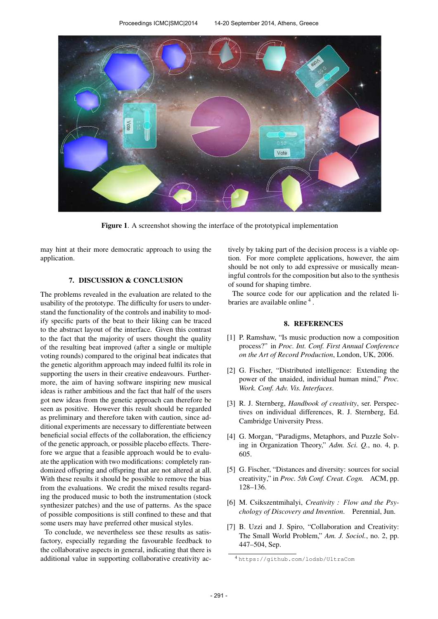

Figure 1. A screenshot showing the interface of the prototypical implementation

may hint at their more democratic approach to using the application.

# 7. DISCUSSION & CONCLUSION

The problems revealed in the evaluation are related to the usability of the prototype. The difficulty for users to understand the functionality of the controls and inability to modify specific parts of the beat to their liking can be traced to the abstract layout of the interface. Given this contrast to the fact that the majority of users thought the quality of the resulting beat improved (after a single or multiple voting rounds) compared to the original beat indicates that the genetic algorithm approach may indeed fulfil its role in supporting the users in their creative endeavours. Furthermore, the aim of having software inspiring new musical ideas is rather ambitious and the fact that half of the users got new ideas from the genetic approach can therefore be seen as positive. However this result should be regarded as preliminary and therefore taken with caution, since additional experiments are necessary to differentiate between beneficial social effects of the collaboration, the efficiency of the genetic approach, or possible placebo effects. Therefore we argue that a feasible approach would be to evaluate the application with two modifications: completely randomized offspring and offspring that are not altered at all. With these results it should be possible to remove the bias from the evaluations. We credit the mixed results regarding the produced music to both the instrumentation (stock synthesizer patches) and the use of patterns. As the space of possible compositions is still confined to these and that some users may have preferred other musical styles.

To conclude, we nevertheless see these results as satisfactory, especially regarding the favourable feedback to the collaborative aspects in general, indicating that there is additional value in supporting collaborative creativity actively by taking part of the decision process is a viable option. For more complete applications, however, the aim should be not only to add expressive or musically meaningful controls for the composition but also to the synthesis of sound for shaping timbre.

The source code for our application and the related libraries are available online<sup>4</sup>.

#### 8. REFERENCES

- [1] P. Ramshaw, "Is music production now a composition process?" in *Proc. Int. Conf. First Annual Conference on the Art of Record Production*, London, UK, 2006.
- [2] G. Fischer, "Distributed intelligence: Extending the power of the unaided, individual human mind," *Proc. Work. Conf. Adv. Vis. Interfaces*.
- [3] R. J. Sternberg, *Handbook of creativity*, ser. Perspectives on individual differences, R. J. Sternberg, Ed. Cambridge University Press.
- [4] G. Morgan, "Paradigms, Metaphors, and Puzzle Solving in Organization Theory," *Adm. Sci. Q.*, no. 4, p. 605.
- [5] G. Fischer, "Distances and diversity: sources for social creativity," in *Proc. 5th Conf. Creat. Cogn.* ACM, pp. 128–136.
- [6] M. Csikszentmihalyi, *Creativity : Flow and the Psychology of Discovery and Invention*. Perennial, Jun.
- [7] B. Uzzi and J. Spiro, "Collaboration and Creativity: The Small World Problem," *Am. J. Sociol.*, no. 2, pp. 447–504, Sep.

<sup>4</sup> <https://github.com/lodsb/UltraCom>